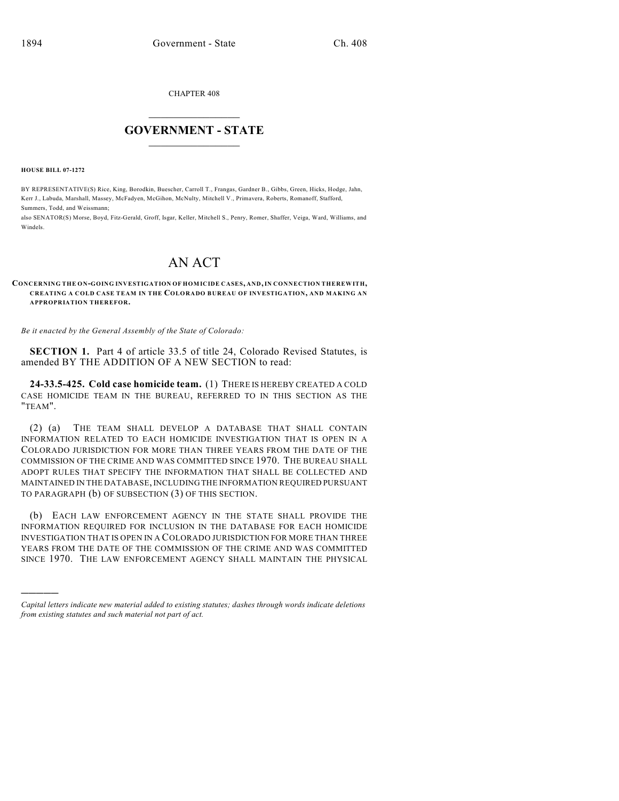CHAPTER 408

## $\mathcal{L}_\text{max}$  . The set of the set of the set of the set of the set of the set of the set of the set of the set of the set of the set of the set of the set of the set of the set of the set of the set of the set of the set **GOVERNMENT - STATE**  $\_$   $\_$   $\_$   $\_$   $\_$   $\_$   $\_$   $\_$

**HOUSE BILL 07-1272**

)))))

BY REPRESENTATIVE(S) Rice, King, Borodkin, Buescher, Carroll T., Frangas, Gardner B., Gibbs, Green, Hicks, Hodge, Jahn, Kerr J., Labuda, Marshall, Massey, McFadyen, McGihon, McNulty, Mitchell V., Primavera, Roberts, Romanoff, Stafford, Summers, Todd, and Weissmann;

also SENATOR(S) Morse, Boyd, Fitz-Gerald, Groff, Isgar, Keller, Mitchell S., Penry, Romer, Shaffer, Veiga, Ward, Williams, and Windels.

## AN ACT

**CONCERNING THE ON-GOING INVESTIGATION OF HOM ICIDE CASES, AND, IN CONNECTION THEREWITH, CREATING A COLD CASE TEAM IN THE COLORADO BUREAU OF INVESTIGATION, AND MAKING AN APPROPRIATION THEREFOR.**

*Be it enacted by the General Assembly of the State of Colorado:*

**SECTION 1.** Part 4 of article 33.5 of title 24, Colorado Revised Statutes, is amended BY THE ADDITION OF A NEW SECTION to read:

**24-33.5-425. Cold case homicide team.** (1) THERE IS HEREBY CREATED A COLD CASE HOMICIDE TEAM IN THE BUREAU, REFERRED TO IN THIS SECTION AS THE "TEAM".

(2) (a) THE TEAM SHALL DEVELOP A DATABASE THAT SHALL CONTAIN INFORMATION RELATED TO EACH HOMICIDE INVESTIGATION THAT IS OPEN IN A COLORADO JURISDICTION FOR MORE THAN THREE YEARS FROM THE DATE OF THE COMMISSION OF THE CRIME AND WAS COMMITTED SINCE 1970. THE BUREAU SHALL ADOPT RULES THAT SPECIFY THE INFORMATION THAT SHALL BE COLLECTED AND MAINTAINED IN THE DATABASE, INCLUDING THE INFORMATION REQUIRED PURSUANT TO PARAGRAPH (b) OF SUBSECTION (3) OF THIS SECTION.

(b) EACH LAW ENFORCEMENT AGENCY IN THE STATE SHALL PROVIDE THE INFORMATION REQUIRED FOR INCLUSION IN THE DATABASE FOR EACH HOMICIDE INVESTIGATION THAT IS OPEN IN A COLORADO JURISDICTION FOR MORE THAN THREE YEARS FROM THE DATE OF THE COMMISSION OF THE CRIME AND WAS COMMITTED SINCE 1970. THE LAW ENFORCEMENT AGENCY SHALL MAINTAIN THE PHYSICAL

*Capital letters indicate new material added to existing statutes; dashes through words indicate deletions from existing statutes and such material not part of act.*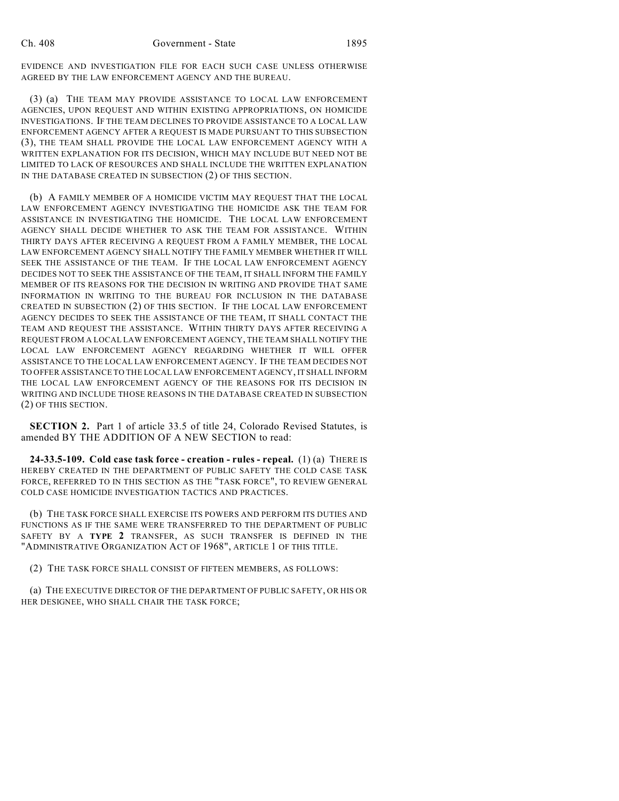EVIDENCE AND INVESTIGATION FILE FOR EACH SUCH CASE UNLESS OTHERWISE AGREED BY THE LAW ENFORCEMENT AGENCY AND THE BUREAU.

(3) (a) THE TEAM MAY PROVIDE ASSISTANCE TO LOCAL LAW ENFORCEMENT AGENCIES, UPON REQUEST AND WITHIN EXISTING APPROPRIATIONS, ON HOMICIDE INVESTIGATIONS. IF THE TEAM DECLINES TO PROVIDE ASSISTANCE TO A LOCAL LAW ENFORCEMENT AGENCY AFTER A REQUEST IS MADE PURSUANT TO THIS SUBSECTION (3), THE TEAM SHALL PROVIDE THE LOCAL LAW ENFORCEMENT AGENCY WITH A WRITTEN EXPLANATION FOR ITS DECISION, WHICH MAY INCLUDE BUT NEED NOT BE LIMITED TO LACK OF RESOURCES AND SHALL INCLUDE THE WRITTEN EXPLANATION IN THE DATABASE CREATED IN SUBSECTION (2) OF THIS SECTION.

(b) A FAMILY MEMBER OF A HOMICIDE VICTIM MAY REQUEST THAT THE LOCAL LAW ENFORCEMENT AGENCY INVESTIGATING THE HOMICIDE ASK THE TEAM FOR ASSISTANCE IN INVESTIGATING THE HOMICIDE. THE LOCAL LAW ENFORCEMENT AGENCY SHALL DECIDE WHETHER TO ASK THE TEAM FOR ASSISTANCE. WITHIN THIRTY DAYS AFTER RECEIVING A REQUEST FROM A FAMILY MEMBER, THE LOCAL LAW ENFORCEMENT AGENCY SHALL NOTIFY THE FAMILY MEMBER WHETHER IT WILL SEEK THE ASSISTANCE OF THE TEAM. IF THE LOCAL LAW ENFORCEMENT AGENCY DECIDES NOT TO SEEK THE ASSISTANCE OF THE TEAM, IT SHALL INFORM THE FAMILY MEMBER OF ITS REASONS FOR THE DECISION IN WRITING AND PROVIDE THAT SAME INFORMATION IN WRITING TO THE BUREAU FOR INCLUSION IN THE DATABASE CREATED IN SUBSECTION (2) OF THIS SECTION. IF THE LOCAL LAW ENFORCEMENT AGENCY DECIDES TO SEEK THE ASSISTANCE OF THE TEAM, IT SHALL CONTACT THE TEAM AND REQUEST THE ASSISTANCE. WITHIN THIRTY DAYS AFTER RECEIVING A REQUEST FROM A LOCAL LAW ENFORCEMENT AGENCY, THE TEAM SHALL NOTIFY THE LOCAL LAW ENFORCEMENT AGENCY REGARDING WHETHER IT WILL OFFER ASSISTANCE TO THE LOCAL LAW ENFORCEMENT AGENCY. IF THE TEAM DECIDES NOT TO OFFER ASSISTANCE TO THE LOCAL LAW ENFORCEMENT AGENCY, IT SHALL INFORM THE LOCAL LAW ENFORCEMENT AGENCY OF THE REASONS FOR ITS DECISION IN WRITING AND INCLUDE THOSE REASONS IN THE DATABASE CREATED IN SUBSECTION (2) OF THIS SECTION.

**SECTION 2.** Part 1 of article 33.5 of title 24, Colorado Revised Statutes, is amended BY THE ADDITION OF A NEW SECTION to read:

**24-33.5-109. Cold case task force - creation - rules - repeal.** (1) (a) THERE IS HEREBY CREATED IN THE DEPARTMENT OF PUBLIC SAFETY THE COLD CASE TASK FORCE, REFERRED TO IN THIS SECTION AS THE "TASK FORCE", TO REVIEW GENERAL COLD CASE HOMICIDE INVESTIGATION TACTICS AND PRACTICES.

(b) THE TASK FORCE SHALL EXERCISE ITS POWERS AND PERFORM ITS DUTIES AND FUNCTIONS AS IF THE SAME WERE TRANSFERRED TO THE DEPARTMENT OF PUBLIC SAFETY BY A **TYPE 2** TRANSFER, AS SUCH TRANSFER IS DEFINED IN THE "ADMINISTRATIVE ORGANIZATION ACT OF 1968", ARTICLE 1 OF THIS TITLE.

(2) THE TASK FORCE SHALL CONSIST OF FIFTEEN MEMBERS, AS FOLLOWS:

(a) THE EXECUTIVE DIRECTOR OF THE DEPARTMENT OF PUBLIC SAFETY, OR HIS OR HER DESIGNEE, WHO SHALL CHAIR THE TASK FORCE;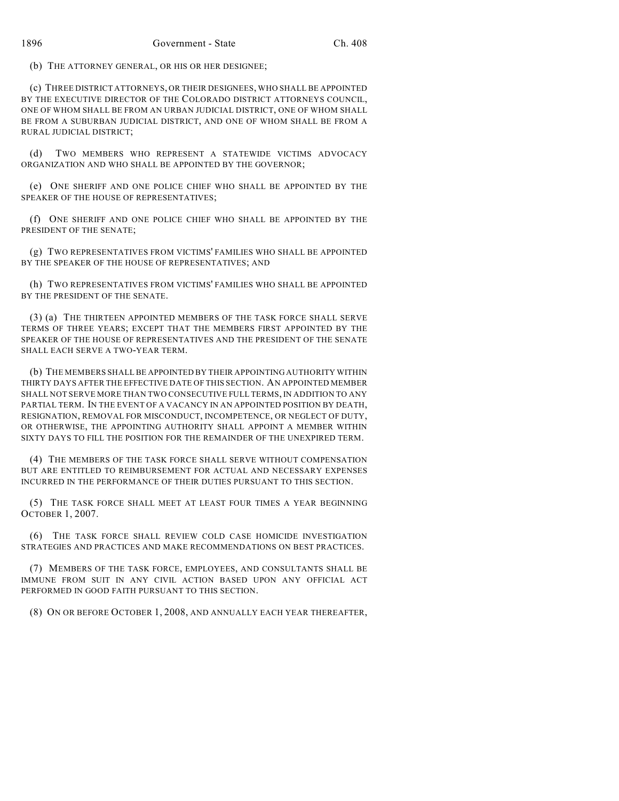(b) THE ATTORNEY GENERAL, OR HIS OR HER DESIGNEE;

(c) THREE DISTRICT ATTORNEYS, OR THEIR DESIGNEES, WHO SHALL BE APPOINTED BY THE EXECUTIVE DIRECTOR OF THE COLORADO DISTRICT ATTORNEYS COUNCIL, ONE OF WHOM SHALL BE FROM AN URBAN JUDICIAL DISTRICT, ONE OF WHOM SHALL BE FROM A SUBURBAN JUDICIAL DISTRICT, AND ONE OF WHOM SHALL BE FROM A RURAL JUDICIAL DISTRICT;

(d) TWO MEMBERS WHO REPRESENT A STATEWIDE VICTIMS ADVOCACY ORGANIZATION AND WHO SHALL BE APPOINTED BY THE GOVERNOR;

(e) ONE SHERIFF AND ONE POLICE CHIEF WHO SHALL BE APPOINTED BY THE SPEAKER OF THE HOUSE OF REPRESENTATIVES;

(f) ONE SHERIFF AND ONE POLICE CHIEF WHO SHALL BE APPOINTED BY THE PRESIDENT OF THE SENATE;

(g) TWO REPRESENTATIVES FROM VICTIMS' FAMILIES WHO SHALL BE APPOINTED BY THE SPEAKER OF THE HOUSE OF REPRESENTATIVES; AND

(h) TWO REPRESENTATIVES FROM VICTIMS' FAMILIES WHO SHALL BE APPOINTED BY THE PRESIDENT OF THE SENATE.

(3) (a) THE THIRTEEN APPOINTED MEMBERS OF THE TASK FORCE SHALL SERVE TERMS OF THREE YEARS; EXCEPT THAT THE MEMBERS FIRST APPOINTED BY THE SPEAKER OF THE HOUSE OF REPRESENTATIVES AND THE PRESIDENT OF THE SENATE SHALL EACH SERVE A TWO-YEAR TERM.

(b) THE MEMBERS SHALL BE APPOINTED BY THEIR APPOINTING AUTHORITY WITHIN THIRTY DAYS AFTER THE EFFECTIVE DATE OF THIS SECTION. AN APPOINTED MEMBER SHALL NOT SERVE MORE THAN TWO CONSECUTIVE FULL TERMS, IN ADDITION TO ANY PARTIAL TERM. IN THE EVENT OF A VACANCY IN AN APPOINTED POSITION BY DEATH, RESIGNATION, REMOVAL FOR MISCONDUCT, INCOMPETENCE, OR NEGLECT OF DUTY, OR OTHERWISE, THE APPOINTING AUTHORITY SHALL APPOINT A MEMBER WITHIN SIXTY DAYS TO FILL THE POSITION FOR THE REMAINDER OF THE UNEXPIRED TERM.

(4) THE MEMBERS OF THE TASK FORCE SHALL SERVE WITHOUT COMPENSATION BUT ARE ENTITLED TO REIMBURSEMENT FOR ACTUAL AND NECESSARY EXPENSES INCURRED IN THE PERFORMANCE OF THEIR DUTIES PURSUANT TO THIS SECTION.

(5) THE TASK FORCE SHALL MEET AT LEAST FOUR TIMES A YEAR BEGINNING OCTOBER 1, 2007.

(6) THE TASK FORCE SHALL REVIEW COLD CASE HOMICIDE INVESTIGATION STRATEGIES AND PRACTICES AND MAKE RECOMMENDATIONS ON BEST PRACTICES.

(7) MEMBERS OF THE TASK FORCE, EMPLOYEES, AND CONSULTANTS SHALL BE IMMUNE FROM SUIT IN ANY CIVIL ACTION BASED UPON ANY OFFICIAL ACT PERFORMED IN GOOD FAITH PURSUANT TO THIS SECTION.

(8) ON OR BEFORE OCTOBER 1, 2008, AND ANNUALLY EACH YEAR THEREAFTER,